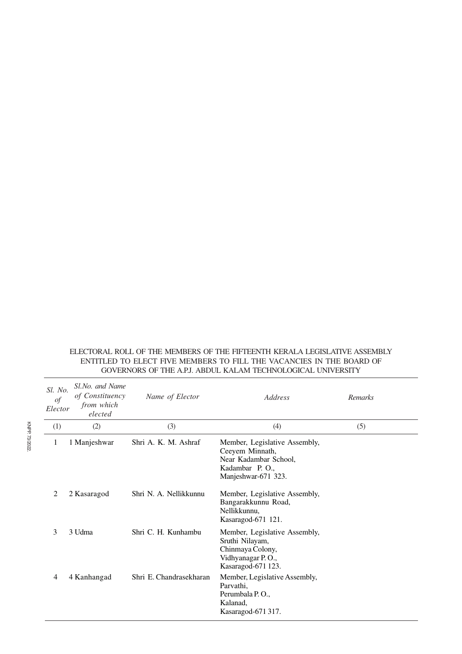| ELECTORAL ROLL OF THE MEMBERS OF THE FIFTEENTH KERALA LEGISLATIVE ASSEMBLY |
|----------------------------------------------------------------------------|
| ENTITLED TO ELECT FIVE MEMBERS TO FILL THE VACANCIES IN THE BOARD OF       |
| GOVERNORS OF THE A.P.J. ABDUL KALAM TECHNOLOGICAL UNIVERSITY               |

| Sl. No.<br>$\phi$ f<br>Elector | Sl.No. and Name<br>of Constituency<br>from which<br>elected | Name of Elector         | Address                                                                                                            | Remarks |
|--------------------------------|-------------------------------------------------------------|-------------------------|--------------------------------------------------------------------------------------------------------------------|---------|
| (1)                            | (2)                                                         | (3)                     | (4)                                                                                                                | (5)     |
| 1                              | 1 Manjeshwar                                                | Shri A. K. M. Ashraf    | Member, Legislative Assembly,<br>Ceeyem Minnath,<br>Near Kadambar School,<br>Kadambar P.O.,<br>Manjeshwar-671 323. |         |
| 2                              | 2 Kasaragod                                                 | Shri N. A. Nellikkunnu  | Member, Legislative Assembly,<br>Bangarakkunnu Road,<br>Nellikkunnu,<br>Kasaragod-671 121.                         |         |
| 3                              | 3 Udma                                                      | Shri C. H. Kunhambu     | Member, Legislative Assembly,<br>Sruthi Nilayam,<br>Chinmaya Colony,<br>Vidhyanagar P.O.,<br>Kasaragod-671 123.    |         |
| 4                              | 4 Kanhangad                                                 | Shri E. Chandrasekharan | Member, Legislative Assembly,<br>Parvathi.<br>Perumbala P.O.,<br>Kalanad,<br>Kasaragod-671317.                     |         |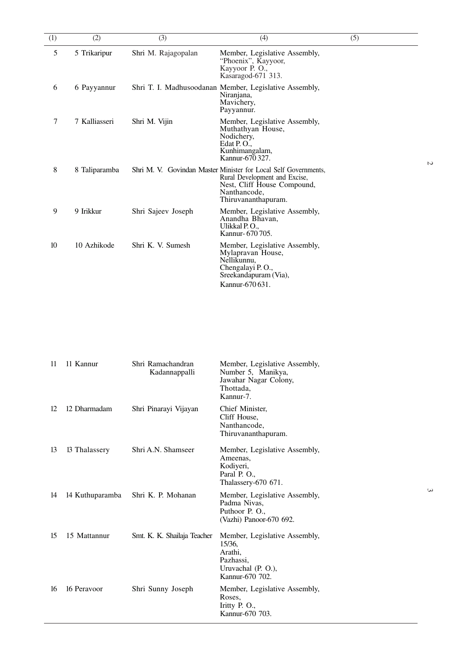| (1) | (2)           | (3)                 | (4)                                                                                                                                                                    | (5) |        |
|-----|---------------|---------------------|------------------------------------------------------------------------------------------------------------------------------------------------------------------------|-----|--------|
| 5   | 5 Trikaripur  | Shri M. Rajagopalan | Member, Legislative Assembly,<br>"Phoenix", Kayyoor,<br>Kayyoor P.O.,<br>Kasaragod-671 313.                                                                            |     |        |
| 6   | 6 Payyannur   |                     | Shri T. I. Madhusoodanan Member, Legislative Assembly,<br>Niranjana,<br>Mavichery,<br>Payyannur.                                                                       |     |        |
| 7   | 7 Kalliasseri | Shri M. Vijin       | Member, Legislative Assembly,<br>Muthathyan House,<br>Nodichery,<br>Edat P.O.,<br>Kunhimangalam,<br>Kannur-670 327.                                                    |     | $\cup$ |
| 8   | 8 Taliparamba |                     | Shri M. V. Govindan Master Minister for Local Self Governments,<br>Rural Development and Excise,<br>Nest, Cliff House Compound,<br>Nanthancode,<br>Thiruvananthapuram. |     |        |
| 9   | 9 Irikkur     | Shri Sajeev Joseph  | Member, Legislative Assembly,<br>Anandha Bhavan,<br>Ulikkal P.O.,<br>Kannur-670 705.                                                                                   |     |        |
| 10  | 10 Azhikode   | Shri K. V. Sumesh   | Member, Legislative Assembly,<br>Mylapravan House,<br>Nellikunnu,<br>Chengalayi P.O.,<br>Sreekandapuram (Via),<br>Kannur-670 631.                                      |     |        |

| 11 | 11 Kannur       | Shri Ramachandran<br>Kadannappalli | Member, Legislative Assembly,<br>Number 5, Manikya,<br>Jawahar Nagar Colony,<br>Thottada,<br>Kannur-7.   |
|----|-----------------|------------------------------------|----------------------------------------------------------------------------------------------------------|
| 12 | 12 Dharmadam    | Shri Pinarayi Vijayan              | Chief Minister,<br>Cliff House,<br>Nanthancode,<br>Thiruvananthapuram.                                   |
| 13 | 13 Thalassery   | Shri A.N. Shamseer                 | Member, Legislative Assembly,<br>Ameenas,<br>Kodiyeri,<br>Paral P. O.,<br>Thalassery- $670$ $671$ .      |
| 14 | 14 Kuthuparamba | Shri K. P. Mohanan                 | Member, Legislative Assembly,<br>Padma Nivas,<br>Puthoor P.O.,<br>(Vazhi) Panoor-670 692.                |
| 15 | 15 Mattannur    | Smt. K. K. Shailaja Teacher        | Member, Legislative Assembly,<br>15/36,<br>Arathi,<br>Pazhassi,<br>Uruvachal (P. O.),<br>Kannur-670 702. |
| 16 | 16 Peravoor     | Shri Sunny Joseph                  | Member, Legislative Assembly,<br>Roses,<br>Iritty P. O.,<br>Kannur-670 703.                              |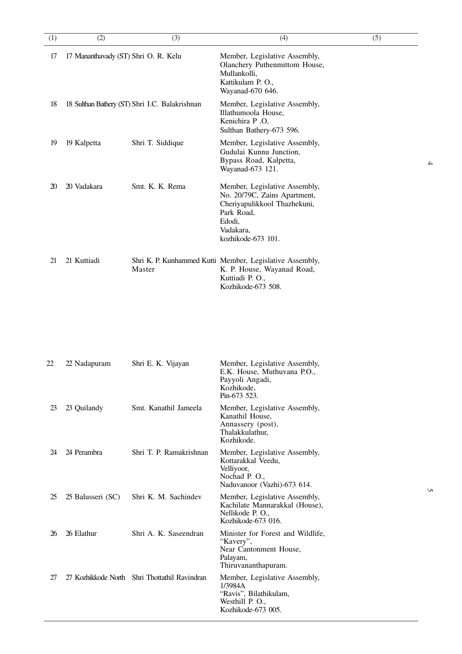| (1) | (2)                                  | (3)                                            | (4)                                                                                                                                                      | (5) |
|-----|--------------------------------------|------------------------------------------------|----------------------------------------------------------------------------------------------------------------------------------------------------------|-----|
| 17  | 17 Mananthavady (ST) Shri O. R. Kelu |                                                | Member, Legislative Assembly,<br>Olanchery Puthenmittom House,<br>Mullankolli.<br>Kattikulam P. O.,<br>Wayanad-670 646.                                  |     |
| 18  |                                      | 18 Sulthan Bathery (ST) Shri I.C. Balakrishnan | Member, Legislative Assembly,<br>Illathumoola House,<br>Kenichira P .O,<br>Sulthan Bathery-673 596.                                                      |     |
| 19  | 19 Kalpetta                          | Shri T. Siddique                               | Member, Legislative Assembly,<br>Gudulai Kunnu Junction,<br>Bypass Road, Kalpetta,<br>Wayanad-673 121.                                                   |     |
| 20  | 20 Vadakara                          | Smt. K. K. Rema                                | Member, Legislative Assembly,<br>No. 20/79C, Zains Apartment,<br>Cheriyapulikkool Thazhekuni,<br>Park Road,<br>Edodi,<br>Vadakara,<br>kozhikode-673 101. |     |
| 21  | 21 Kuttiadi                          | Master                                         | Shri K. P. Kunhammed Kutti Member, Legislative Assembly,<br>K. P. House, Wayanad Road,<br>Kuttiadi P. O.,<br>Kozhikode-673 508.                          |     |

| 22 | 22 Nadapuram      | Shri E. K. Vijayan                            | Member, Legislative Assembly,<br>E.K. House, Muthuvana P.O.,<br>Payyoli Angadi,<br>Kozhikode,<br>Pin-673 523.     |
|----|-------------------|-----------------------------------------------|-------------------------------------------------------------------------------------------------------------------|
| 23 | 23 Quilandy       | Smt. Kanathil Jameela                         | Member, Legislative Assembly,<br>Kanathil House,<br>Annassery (post),<br>Thalakkulathur,<br>Kozhikode.            |
| 24 | 24 Perambra       | Shri T. P. Ramakrishnan                       | Member, Legislative Assembly,<br>Kottarakkal Veedu,<br>Velliyoor,<br>Nochad P. O.,<br>Naduvanoor (Vazhi)-673 614. |
| 25 | 25 Balusseri (SC) | Shri K. M. Sachindev                          | Member, Legislative Assembly,<br>Kachilate Mannarakkal (House),<br>Nellikode P. O.,<br>Kozhikode-673 016.         |
| 26 | 26 Elathur        | Shri A. K. Saseendran                         | Minister for Forest and Wildlife,<br>"Kavery",<br>Near Cantonment House,<br>Palayam,<br>Thiruvananthapuram.       |
| 27 |                   | 27 Kozhikkode North Shri Thottathil Ravindran | Member, Legislative Assembly,<br>1/3984A<br>"Ravis", Bilathikulam,<br>Westhill P. O.,<br>Kozhikode-673 005.       |

 $\mathsf{C}_1$ 

 $\rightarrow$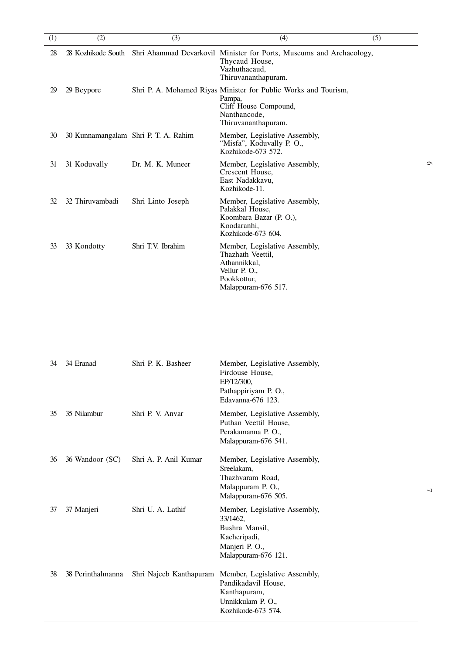| (1) | (2)             | (3)                                  | (4)                                                                                                                                               | (5) |
|-----|-----------------|--------------------------------------|---------------------------------------------------------------------------------------------------------------------------------------------------|-----|
| 28  |                 |                                      | 28 Kozhikode South Shri Ahammad Devarkovil Minister for Ports, Museums and Archaeology,<br>Thycaud House,<br>Vazhuthacaud,<br>Thiruvananthapuram. |     |
| 29  | 29 Beypore      |                                      | Shri P. A. Mohamed Riyas Minister for Public Works and Tourism,<br>Pampa,<br>Cliff House Compound,<br>Nanthancode,<br>Thiruvananthapuram.         |     |
| 30  |                 | 30 Kunnamangalam Shri P. T. A. Rahim | Member, Legislative Assembly,<br>"Misfa", Koduvally P. O.,<br>Kozhikode-673 572.                                                                  |     |
| 31  | 31 Koduvally    | Dr. M. K. Muneer                     | Member, Legislative Assembly,<br>Crescent House,<br>East Nadakkavu,<br>Kozhikode-11.                                                              |     |
| 32  | 32 Thiruvambadi | Shri Linto Joseph                    | Member, Legislative Assembly,<br>Palakkal House,<br>Koombara Bazar (P. O.),<br>Koodaranhi,<br>Kozhikode-673 604.                                  |     |
| 33  | 33 Kondotty     | Shri T.V. Ibrahim                    | Member, Legislative Assembly,<br>Thazhath Veettil,<br>Athannikkal,<br>Vellur P. O.,<br>Pookkottur,<br>Malappuram-676 517.                         |     |

| 34 | 34 Eranad         | Shri P. K. Basheer      | Member, Legislative Assembly,<br>Firdouse House,<br>EP/12/300,<br>Pathappiriyam P. O.,<br>Edavanna-676 123.          |
|----|-------------------|-------------------------|----------------------------------------------------------------------------------------------------------------------|
| 35 | 35 Nilambur       | Shri P. V. Anvar        | Member, Legislative Assembly,<br>Puthan Veettil House,<br>Perakamanna P. O.,<br>Malappuram-676 541.                  |
| 36 | 36 Wandoor (SC)   | Shri A. P. Anil Kumar   | Member, Legislative Assembly,<br>Sreelakam,<br>Thazhvaram Road,<br>Malappuram P. O.,<br>Malappuram-676 505.          |
| 37 | 37 Manjeri        | Shri U. A. Lathif       | Member, Legislative Assembly,<br>33/1462.<br>Bushra Mansil,<br>Kacheripadi,<br>Manjeri P. O.,<br>Malappuram-676 121. |
| 38 | 38 Perinthalmanna | Shri Najeeb Kanthapuram | Member, Legislative Assembly,<br>Pandikadavil House,<br>Kanthapuram,<br>Unnikkulam P. O.,<br>Kozhikode-673 574.      |

 $\circ$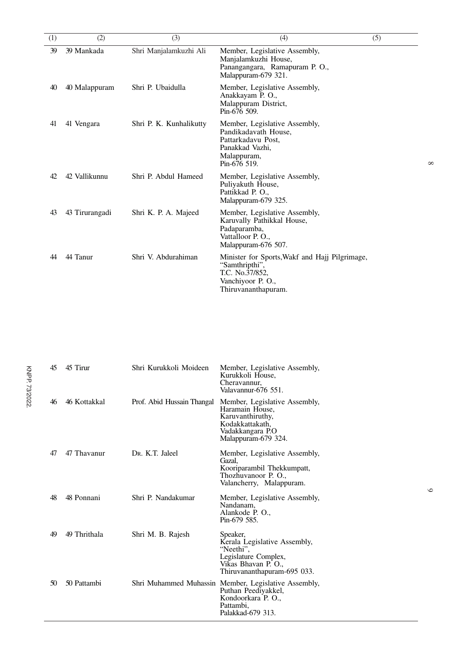| (1) | (2)            | (3)                     | (4)                                                                                                                             | (5) |
|-----|----------------|-------------------------|---------------------------------------------------------------------------------------------------------------------------------|-----|
| 39  | 39 Mankada     | Shri Manjalamkuzhi Ali  | Member, Legislative Assembly,<br>Manjalamkuzhi House,<br>Panangangara, Ramapuram P.O.,<br>Malappuram-679 321.                   |     |
| 40  | 40 Malappuram  | Shri P. Ubaidulla       | Member, Legislative Assembly,<br>Anakkayam P. O.,<br>Malappuram District,<br>Pin-676 509.                                       |     |
| 41  | 41 Vengara     | Shri P. K. Kunhalikutty | Member, Legislative Assembly,<br>Pandikadavath House,<br>Pattarkadavu Post,<br>Panakkad Vazhi,<br>Malappuram,<br>Pin-676 519.   |     |
| 42  | 42 Vallikunnu  | Shri P. Abdul Hameed    | Member, Legislative Assembly,<br>Puliyakuth House,<br>Pattikkad P. O.,<br>Malappuram-679 325.                                   |     |
| 43  | 43 Tirurangadi | Shri K. P. A. Majeed    | Member, Legislative Assembly,<br>Karuvally Pathikkal House,<br>Padaparamba,<br>Vattalloor P.O.,<br>Malappuram-676 507.          |     |
| 44  | 44 Tanur       | Shri V. Abdurahiman     | Minister for Sports, Wakf and Hajj Pilgrimage,<br>"Samthripthi",<br>T.C. No.37/852,<br>Vanchiyoor P. O.,<br>Thiruvananthapuram. |     |

| 45 | 45 Tirur     | Shri Kurukkoli Moideen     | Member, Legislative Assembly,<br>Kurukkoli House,<br>Cheravannur.<br>Valavannur-676 551.                                            |
|----|--------------|----------------------------|-------------------------------------------------------------------------------------------------------------------------------------|
| 46 | 46 Kottakkal | Prof. Abid Hussain Thangal | Member, Legislative Assembly,<br>Haramain House.<br>Karuvanthiruthy,<br>Kodakkattakath.<br>Vadakkangara P.O<br>Malappuram-679 324.  |
| 47 | 47 Thavanur  | DR. K.T. Jaleel            | Member, Legislative Assembly,<br>Gazal,<br>Kooriparambil Thekkumpatt,<br>Thozhuvanoor P.O.,<br>Valancherry, Malappuram.             |
| 48 | 48 Ponnani   | Shri P. Nandakumar         | Member, Legislative Assembly,<br>Nandanam.<br>Alankode P. O.,<br>Pin-679 585.                                                       |
| 49 | 49 Thrithala | Shri M. B. Rajesh          | Speaker,<br>Kerala Legislative Assembly,<br>"Neethi",<br>Legislature Complex,<br>Vikas Bhavan P. O.,<br>Thiruvananthapuram-695 033. |
| 50 | 50 Pattambi  |                            | Shri Muhammed Muhassin Member, Legislative Assembly,<br>Puthan Peediyakkel,<br>Kondoorkara P. O.,<br>Pattambi,<br>Palakkad-679 313. |

 $\circ$ 

 $\infty$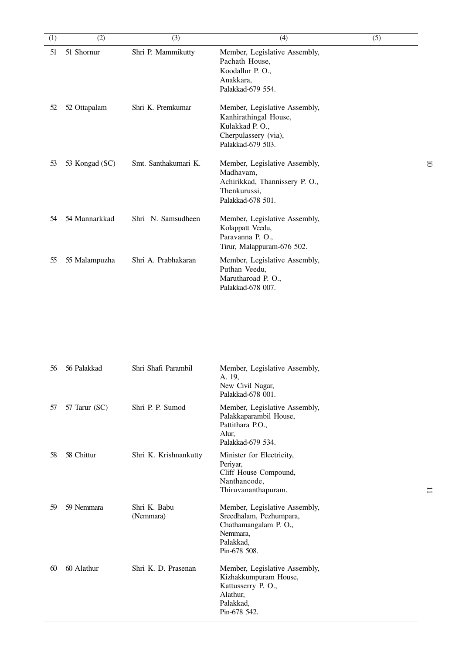| (1) | (2)            | (3)                  | (4)                                                                                                                   | (5) |
|-----|----------------|----------------------|-----------------------------------------------------------------------------------------------------------------------|-----|
| 51  | 51 Shornur     | Shri P. Mammikutty   | Member, Legislative Assembly,<br>Pachath House,<br>Koodallur P. O.,<br>Anakkara,<br>Palakkad-679 554.                 |     |
| 52  | 52 Ottapalam   | Shri K. Premkumar    | Member, Legislative Assembly,<br>Kanhirathingal House,<br>Kulakkad P.O.,<br>Cherpulassery (via),<br>Palakkad-679 503. |     |
| 53  | 53 Kongad (SC) | Smt. Santhakumari K. | Member, Legislative Assembly,<br>Madhavam.<br>Achirikkad, Thannissery P. O.,<br>Thenkurussi.<br>Palakkad-678 501.     |     |
| 54  | 54 Mannarkkad  | Shri N. Samsudheen   | Member, Legislative Assembly,<br>Kolappatt Veedu,<br>Paravanna P. O.,<br>Tirur, Malappuram-676 502.                   |     |
| 55  | 55 Malampuzha  | Shri A. Prabhakaran  | Member, Legislative Assembly,<br>Puthan Veedu,<br>Marutharoad P.O.,<br>Palakkad-678 007.                              |     |

| 56 | 56 Palakkad   | Shri Shafi Parambil       | Member, Legislative Assembly,<br>A. 19.<br>New Civil Nagar,<br>Palakkad-678 001.                                           |
|----|---------------|---------------------------|----------------------------------------------------------------------------------------------------------------------------|
| 57 | 57 Tarur (SC) | Shri P. P. Sumod          | Member, Legislative Assembly,<br>Palakkaparambil House,<br>Pattithara P.O.,<br>Alur,<br>Palakkad-679 534.                  |
| 58 | 58 Chittur    | Shri K. Krishnankutty     | Minister for Electricity,<br>Periyar,<br>Cliff House Compound,<br>Nanthancode,<br>Thiruvananthapuram.                      |
| 59 | 59 Nemmara    | Shri K. Babu<br>(Nemmara) | Member, Legislative Assembly,<br>Sreedhalam, Pezhumpara,<br>Chathamangalam P. O.,<br>Nemmara,<br>Palakkad,<br>Pin-678 508. |
| 60 | 60 Alathur    | Shri K. D. Prasenan       | Member, Legislative Assembly,<br>Kizhakkumpuram House,<br>Kattusserry P. O.,<br>Alathur,<br>Palakkad,<br>Pin-678 542.      |

 $\Xi$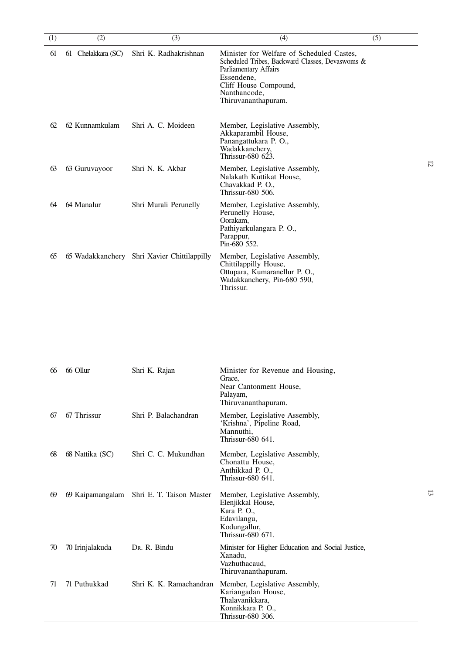| (1) | (2)                   | (3)                                         | (4)                                                                                                                                                                                                 | (5) |
|-----|-----------------------|---------------------------------------------|-----------------------------------------------------------------------------------------------------------------------------------------------------------------------------------------------------|-----|
| 61  | Chelakkara (SC)<br>61 | Shri K. Radhakrishnan                       | Minister for Welfare of Scheduled Castes,<br>Scheduled Tribes, Backward Classes, Devaswoms &<br>Parliamentary Affairs<br>Essendene,<br>Cliff House Compound,<br>Nanthancode,<br>Thiruvananthapuram. |     |
| 62  | 62 Kunnamkulam        | Shri A. C. Moideen                          | Member, Legislative Assembly,<br>Akkaparambil House,<br>Panangattukara P. O.,<br>Wadakkanchery,<br>Thrissur-680 623.                                                                                |     |
| 63  | 63 Guruvayoor         | Shri N. K. Akbar                            | Member, Legislative Assembly,<br>Nalakath Kuttikat House,<br>Chavakkad P. O.,<br>Thrissur-680 506.                                                                                                  |     |
| 64  | 64 Manalur            | Shri Murali Perunelly                       | Member, Legislative Assembly,<br>Perunelly House,<br>Oorakam.<br>Pathiyarkulangara P. O.,<br>Parappur,<br>Pin-680 552.                                                                              |     |
| 65  |                       | 65 Wadakkanchery Shri Xavier Chittilappilly | Member, Legislative Assembly,<br>Chittilappilly House,<br>Ottupara, Kumaranellur P. O.,<br>Wadakkanchery, Pin-680 590,<br>Thrissur.                                                                 |     |

| 66 | 66 Ollur         | Shri K. Rajan            | Minister for Revenue and Housing,<br>Grace,<br>Near Cantonment House,<br>Palayam,<br>Thiruvananthapuram.              |
|----|------------------|--------------------------|-----------------------------------------------------------------------------------------------------------------------|
| 67 | 67 Thrissur      | Shri P. Balachandran     | Member, Legislative Assembly,<br>'Krishna', Pipeline Road,<br>Mannuthi,<br>Thrissur-680 641.                          |
| 68 | 68 Nattika (SC)  | Shri C. C. Mukundhan     | Member, Legislative Assembly,<br>Chonattu House,<br>Anthikkad P. O.,<br>Thrissur-680 641.                             |
| 69 | 69 Kaipamangalam | Shri E. T. Taison Master | Member, Legislative Assembly,<br>Elenjikkal House,<br>Kara P. O.,<br>Edavilangu,<br>Kodungallur,<br>Thrissur-680 671. |
| 70 | 70 Irinjalakuda  | Dr. R. Bindu             | Minister for Higher Education and Social Justice,<br>Xanadu,<br>Vazhuthacaud,<br>Thiruvananthapuram.                  |
| 71 | 71 Puthukkad     | Shri K. K. Ramachandran  | Member, Legislative Assembly,<br>Kariangadan House,<br>Thalavanikkara,<br>Konnikkara P. O.,<br>Thrissur-680 306.      |

 $\overline{\mathrm{c}}$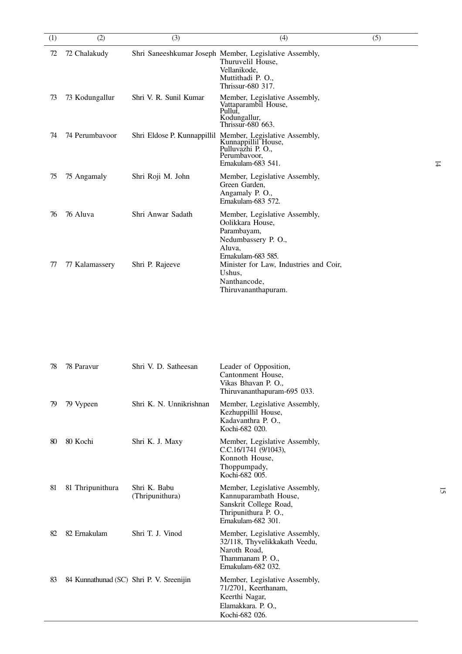| (1) | (2)            | (3)                    | (4)                                                                                                                                         | (5) |
|-----|----------------|------------------------|---------------------------------------------------------------------------------------------------------------------------------------------|-----|
| 72  | 72 Chalakudy   |                        | Shri Saneeshkumar Joseph Member, Legislative Assembly,<br>Thuruvelil House,<br>Vellanikode,<br>Muttithadi P. O.,<br>Thrissur-680 317.       |     |
| 73  | 73 Kodungallur | Shri V. R. Sunil Kumar | Member, Legislative Assembly,<br>Vattaparambil House,<br>Pullut,<br>Kodungallur,<br>Thrissur-680 663.                                       |     |
| 74  | 74 Perumbayoor |                        | Shri Eldose P. Kunnappillil Member, Legislative Assembly,<br>Kunnappillil House,<br>Pulluvāzhi P. O.,<br>Perumbavoor,<br>Ernakulam-683 541. |     |
| 75  | 75 Angamaly    | Shri Roji M. John      | Member, Legislative Assembly,<br>Green Garden,<br>Angamaly P. O.,<br>Ernakulam-683 572.                                                     |     |
| 76  | 76 Aluva       | Shri Anwar Sadath      | Member, Legislative Assembly,<br>Oolikkara House.<br>Parambayam,<br>Nedumbassery P. O.,<br>Aluva,<br>Ernakulam-683 585.                     |     |
| 77  | 77 Kalamassery | Shri P. Rajeeve        | Minister for Law, Industries and Coir,<br>Ushus.<br>Nanthancode,<br>Thiruvananthapuram.                                                     |     |

| 78 | 78 Paravur                               | Shri V. D. Satheesan            | Leader of Opposition,<br>Cantonment House,<br>Vikas Bhavan P. O.,<br>Thiruvananthapuram-695 033.                               |
|----|------------------------------------------|---------------------------------|--------------------------------------------------------------------------------------------------------------------------------|
| 79 | 79 Vypeen                                | Shri K. N. Unnikrishnan         | Member, Legislative Assembly,<br>Kezhuppillil House,<br>Kadavanthra P. O.,<br>Kochi-682 020.                                   |
| 80 | 80 Kochi                                 | Shri K. J. Maxy                 | Member, Legislative Assembly,<br>C.C.16/1741 (9/1043),<br>Konnoth House,<br>Thoppumpady,<br>Kochi-682 005.                     |
| 81 | 81 Thripunithura                         | Shri K. Babu<br>(Thripunithura) | Member, Legislative Assembly,<br>Kannuparambath House,<br>Sanskrit College Road,<br>Thripunithura P. O.,<br>Ernakulam-682 301. |
| 82 | 82 Ernakulam                             | Shri T. J. Vinod                | Member, Legislative Assembly,<br>32/118, Thyvelikkakath Veedu,<br>Naroth Road,<br>Thammanam P. O.,<br>Ernakulam-682 032.       |
| 83 | 84 Kunnathunad (SC) Shri P. V. Sreenijin |                                 | Member, Legislative Assembly,<br>71/2701, Keerthanam,<br>Keerthi Nagar,<br>Elamakkara. P. O.,<br>Kochi-682 026.                |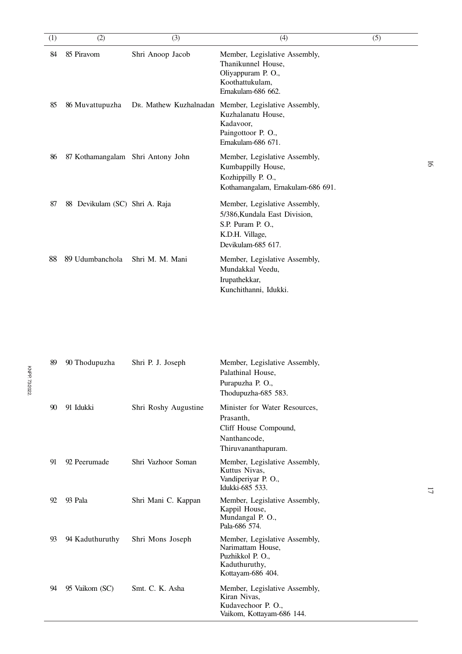| (1) | (2)                               | (3)              | (4)                                                                                                                                | (5) |
|-----|-----------------------------------|------------------|------------------------------------------------------------------------------------------------------------------------------------|-----|
| 84  | 85 Piravom                        | Shri Anoop Jacob | Member, Legislative Assembly,<br>Thanikunnel House,<br>Oliyappuram P.O.,<br>Koothattukulam,<br>Ernakulam-686 662.                  |     |
| 85  | 86 Muvattupuzha                   |                  | Dr. Mathew Kuzhalnadan Member, Legislative Assembly,<br>Kuzhalanatu House,<br>Kadavoor,<br>Paingottoor P.O.,<br>Ernakulam-686 671. |     |
| 86  | 87 Kothamangalam Shri Antony John |                  | Member, Legislative Assembly,<br>Kumbappilly House,<br>Kozhippilly P. O.,<br>Kothamangalam, Ernakulam-686 691.                     |     |
| 87  | Devikulam (SC) Shri A. Raja<br>88 |                  | Member, Legislative Assembly,<br>5/386, Kundala East Division,<br>S.P. Puram P.O.,<br>K.D.H. Village,<br>Devikulam-685 617.        |     |
| 88  | 89 Udumbanchola                   | Shri M. M. Mani  | Member, Legislative Assembly,<br>Mundakkal Veedu,<br>Irupathekkar,<br>Kunchithanni, Idukki.                                        |     |

89 90 Thodupuzha Shri P. J. Joseph Member, Legislative Assembly, Palathinal House, Purapuzha P. O., Thodupuzha-685 583. 90 91 Idukki Shri Roshy Augustine Minister for Water Resources, Prasanth, Cliff House Compound, Nanthancode, Thiruvananthapuram. 91 92 Peerumade Shri Vazhoor Soman Member, Legislative Assembly, Kuttus Nivas, Vandiperiyar P. O., Idukki-685 533. 92 93 Pala Shri Mani C. Kappan Member, Legislative Assembly, Kappil House, Mundangal P. O., Pala-686 574. 93 94 Kaduthuruthy Shri Mons Joseph Member, Legislative Assembly, Narimattam House, Puzhikkol P. O., Kaduthuruthy, Kottayam-686 404. 94 95 Vaikom (SC) Smt. C. K. Asha Member, Legislative Assembly, Kiran Nivas, Kudavechoor P. O.,

Vaikom, Kottayam-686 144.

16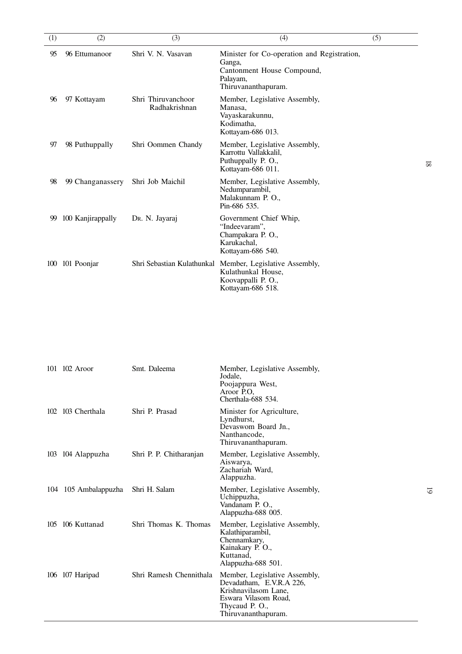| (1) | (2)               | (3)                                 | (4)                                                                                                                    | (5) |
|-----|-------------------|-------------------------------------|------------------------------------------------------------------------------------------------------------------------|-----|
| 95  | 96 Ettumanoor     | Shri V. N. Vasavan                  | Minister for Co-operation and Registration,<br>Ganga,<br>Cantonment House Compound,<br>Palayam,<br>Thiruvananthapuram. |     |
| 96  | 97 Kottayam       | Shri Thiruvanchoor<br>Radhakrishnan | Member, Legislative Assembly,<br>Manasa,<br>Vayaskarakunnu,<br>Kodimatha,<br>Kottayam-686 013.                         |     |
| 97  | 98 Puthuppally    | Shri Oommen Chandy                  | Member, Legislative Assembly,<br>Karrottu Vallakkalil,<br>Puthuppally P. O.,<br>Kottayam-686 011.                      |     |
| 98  | 99 Changanassery  | Shri Job Maichil                    | Member, Legislative Assembly,<br>Nedumparambil,<br>Malakunnam P. O.,<br>Pin-686 535.                                   |     |
| 99  | 100 Kanjirappally | Dr. N. Jayaraj                      | Government Chief Whip,<br>"Indeevaram".<br>Champakara P.O.,<br>Karukachal,<br>Kottayam-686 540.                        |     |
| 100 | 101 Poonjar       | Shri Sebastian Kulathunkal          | Member, Legislative Assembly,<br>Kulathunkal House,<br>Koovappalli P. O.,<br>Kottayam-686 518.                         |     |

|     | 101 102 Aroor        | Smt. Daleema            | Member, Legislative Assembly,<br>Jodale,<br>Poojappura West,<br>Aroor P.O.<br>Cherthala-688 534.                                                   |
|-----|----------------------|-------------------------|----------------------------------------------------------------------------------------------------------------------------------------------------|
|     | 102 103 Cherthala    | Shri P. Prasad          | Minister for Agriculture,<br>Lyndhurst,<br>Devaswom Board Jn.,<br>Nanthancode,<br>Thiruvananthapuram.                                              |
| 103 | 104 Alappuzha        | Shri P. P. Chitharanjan | Member, Legislative Assembly,<br>Aiswarya,<br>Zachariah Ward,<br>Alappuzha.                                                                        |
|     | 104 105 Ambalappuzha | Shri H. Salam           | Member, Legislative Assembly,<br>Uchippuzha,<br>Vandanam P. O.,<br>Alappuzha-688 005.                                                              |
| 105 | 106 Kuttanad         | Shri Thomas K. Thomas   | Member, Legislative Assembly,<br>Kalathiparambil,<br>Chennamkary,<br>Kainakary P. O.,<br>Kuttanad,<br>Alappuzha-688 501.                           |
|     | 106 107 Haripad      | Shri Ramesh Chennithala | Member, Legislative Assembly,<br>Devadatham, E.V.R.A 226,<br>Krishnavilasom Lane,<br>Eswara Vilasom Road,<br>Thycaud P. O.,<br>Thiruvananthapuram. |

18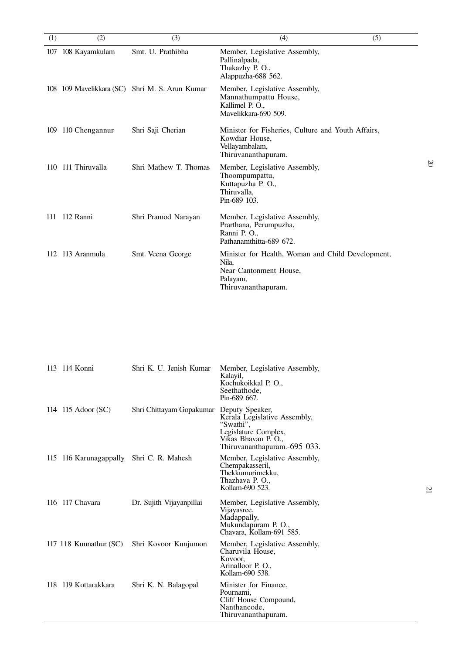| (1) | (2)                | (3)                                            | (4)                                                                                                                     | (5) |
|-----|--------------------|------------------------------------------------|-------------------------------------------------------------------------------------------------------------------------|-----|
| 107 | 108 Kayamkulam     | Smt. U. Prathibha                              | Member, Legislative Assembly,<br>Pallinalpada,<br>Thakazhy P.O.,<br>Alappuzha-688 562.                                  |     |
|     |                    | 108 109 Mavelikkara (SC) Shri M. S. Arun Kumar | Member, Legislative Assembly,<br>Mannathumpattu House,<br>Kallimel P. O.,<br>Mavelikkara-690 509.                       |     |
| 109 | 110 Chengannur     | Shri Saji Cherian                              | Minister for Fisheries, Culture and Youth Affairs,<br>Kowdiar House,<br>Vellayambalam,<br>Thiruvananthapuram.           |     |
|     | 110 111 Thiruvalla | Shri Mathew T. Thomas                          | Member, Legislative Assembly,<br>Thoompumpattu,<br>Kuttapuzha P. O.,<br>Thiruvalla,<br>Pin-689 103.                     |     |
| 111 | 112 Ranni          | Shri Pramod Narayan                            | Member, Legislative Assembly,<br>Prarthana, Perumpuzha,<br>Ranni P. O.,<br>Pathanamthitta-689 672.                      |     |
| 112 | 113 Aranmula       | Smt. Veena George                              | Minister for Health, Woman and Child Development,<br>Nila,<br>Near Cantonment House,<br>Palayam,<br>Thiruvananthapuram. |     |

| 113 114 Konni                            | Shri K. U. Jenish Kumar  | Member, Legislative Assembly,<br>Kalayil,<br>Kochukoikkal P. O.,<br>Seethathode,<br>Pin-689 667.                                            |
|------------------------------------------|--------------------------|---------------------------------------------------------------------------------------------------------------------------------------------|
| 114 115 Adoor (SC)                       | Shri Chittayam Gopakumar | Deputy Speaker,<br>Kerala Legislative Assembly,<br>"Swathi".<br>Legislature Complex,<br>Vikas Bhavan P. O.,<br>Thiruvananthapuram.-695 033. |
| 115 116 Karunagappally Shri C. R. Mahesh |                          | Member, Legislative Assembly,<br>Chempakasseril,<br>Thekkumurimekku,<br>Thazhava P. O.,<br>Kollam-690 523.                                  |
| 116 117 Chavara                          | Dr. Sujith Vijayanpillai | Member, Legislative Assembly,<br>Vijayasree,<br>Madappally,<br>Mukundapuram P. O.,<br>Chavara, Kollam-691 585.                              |
| 117 118 Kunnathur $SC$ )                 | Shri Kovoor Kunjumon     | Member, Legislative Assembly,<br>Charuvila House,<br>Kovoor,<br>Arinalloor P. O.,<br>Kollam-690 538.                                        |
| 118 119 Kottarakkara                     | Shri K. N. Balagopal     | Minister for Finance,<br>Pournami,<br>Cliff House Compound,<br>Nanthancode,<br>Thiruvananthapuram.                                          |

 $\otimes$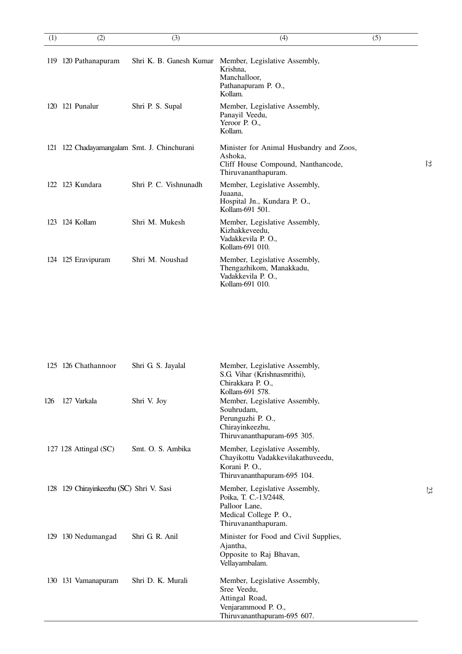| (1) | (2)                                         | (3)                     | (4)                                                                                                             | (5) |
|-----|---------------------------------------------|-------------------------|-----------------------------------------------------------------------------------------------------------------|-----|
|     | 119 120 Pathanapuram                        | Shri K. B. Ganesh Kumar | Member, Legislative Assembly,<br>Krishna,<br>Manchalloor,<br>Pathanapuram P. O.,<br>Kollam.                     |     |
|     | $120$ 121 Punalur                           | Shri P. S. Supal        | Member, Legislative Assembly,<br>Panayil Veedu,<br>Yeroor P.O.,<br>Kollam.                                      |     |
|     | 121 122 Chadayamangalam Smt. J. Chinchurani |                         | Minister for Animal Husbandry and Zoos,<br>Ashoka,<br>Cliff House Compound, Nanthancode,<br>Thiruvananthapuram. |     |
| 122 | 123 Kundara                                 | Shri P. C. Vishnunadh   | Member, Legislative Assembly,<br>Juaana,<br>Hospital Jn., Kundara P. O.,<br>Kollam-691 501.                     |     |
|     | 123 124 Kollam                              | Shri M. Mukesh          | Member, Legislative Assembly,<br>Kizhakkeveedu,<br>Vadakkevila P. O.,<br>Kollam-691 010.                        |     |
|     | 124 125 Eravipuram                          | Shri M. Noushad         | Member, Legislative Assembly,<br>Thengazhikom, Manakkadu,<br>Vadakkevila P. O.,<br>Kollam-691 010.              |     |

 $\mathcal{L}$ 

| 125 | 126 Chathannoor                      | Shri G. S. Jayalal | Member, Legislative Assembly,<br>S.G. Vihar (Krishnasmrithi),<br>Chirakkara P. O.,<br>Kollam-691 578.                    |   |
|-----|--------------------------------------|--------------------|--------------------------------------------------------------------------------------------------------------------------|---|
| 126 | 127 Varkala                          | Shri V. Joy        | Member, Legislative Assembly,<br>Souhrudam.<br>Perunguzhi P. O.,<br>Chirayinkeezhu,<br>Thiruvananthapuram-695 305.       |   |
|     | 127 128 Attingal (SC)                | Smt. O. S. Ambika  | Member, Legislative Assembly,<br>Chayikottu Vadakkevilakathuveedu,<br>Korani P. O.,<br>Thiruvananthapuram-695 104.       |   |
| 128 | 129 Chirayinkeezhu (SC) Shri V. Sasi |                    | Member, Legislative Assembly,<br>Poika, T. C.-13/2448,<br>Palloor Lane.<br>Medical College P. O.,<br>Thiruvananthapuram. | B |
| 129 | 130 Nedumangad                       | Shri G R. Anil     | Minister for Food and Civil Supplies,<br>Ajantha,<br>Opposite to Raj Bhavan,<br>Vellayambalam.                           |   |
|     | 130 131 Vamanapuram                  | Shri D. K. Murali  | Member, Legislative Assembly,<br>Sree Veedu,<br>Attingal Road,<br>Venjarammood P.O.,<br>Thiruvananthapuram-695 607.      |   |